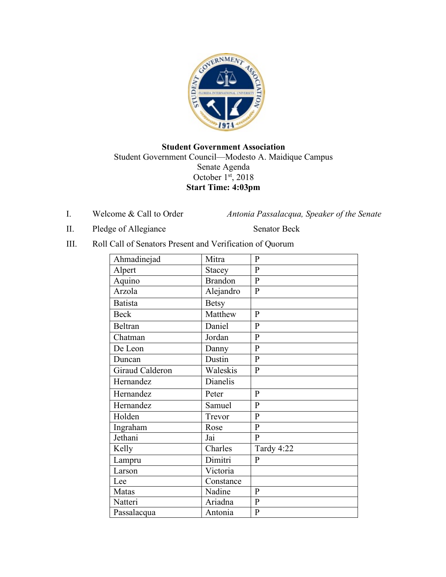

## **Student Government Association** Student Government Council—Modesto A. Maidique Campus Senate Agenda October 1st, 2018 **Start Time: 4:03pm**

I. Welcome & Call to Order *Antonia Passalacqua, Speaker of the Senate* 

II. Pledge of Allegiance Senator Beck

III. Roll Call of Senators Present and Verification of Quorum

| Ahmadinejad     | Mitra          | $\mathbf{P}$   |
|-----------------|----------------|----------------|
| Alpert          | Stacey         | $\mathbf{P}$   |
| Aquino          | <b>Brandon</b> | $\overline{P}$ |
| Arzola          | Alejandro      | $\mathbf{P}$   |
| <b>Batista</b>  | <b>Betsy</b>   |                |
| <b>Beck</b>     | Matthew        | $\mathbf{P}$   |
| <b>Beltran</b>  | Daniel         | $\mathbf{P}$   |
| Chatman         | Jordan         | $\overline{P}$ |
| De Leon         | Danny          | $\mathbf{P}$   |
| Duncan          | Dustin         | $\overline{P}$ |
| Giraud Calderon | Waleskis       | $\mathbf{P}$   |
| Hernandez       | Dianelis       |                |
| Hernandez       | Peter          | $\mathbf{P}$   |
| Hernandez       | Samuel         | $\mathbf{P}$   |
| Holden          | Trevor         | $\overline{P}$ |
| Ingraham        | Rose           | $\mathbf{P}$   |
| Jethani         | Jai            | $\overline{P}$ |
| Kelly           | Charles        | Tardy 4:22     |
| Lampru          | Dimitri        | ${\bf P}$      |
| Larson          | Victoria       |                |
| Lee             | Constance      |                |
| Matas           | Nadine         | $\mathbf{P}$   |
| Natteri         | Ariadna        | $\mathbf{P}$   |
| Passalacqua     | Antonia        | $\mathbf{P}$   |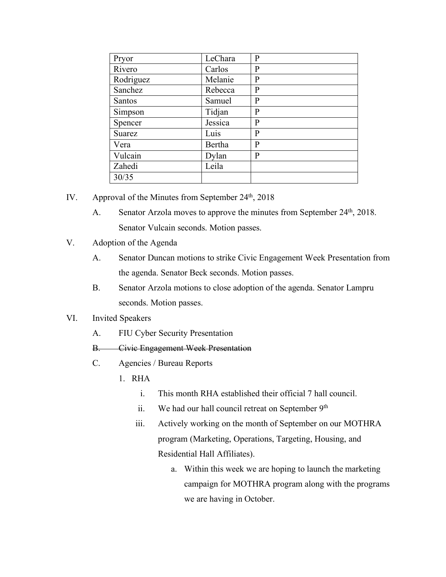| Pryor         | LeChara | P       |
|---------------|---------|---------|
| Rivero        | Carlos  | P       |
| Rodriguez     | Melanie | $\bf P$ |
| Sanchez       | Rebecca | P       |
| <b>Santos</b> | Samuel  | P       |
| Simpson       | Tidjan  | P       |
| Spencer       | Jessica | P       |
| Suarez        | Luis    | P       |
| Vera          | Bertha  | P       |
| Vulcain       | Dylan   | P       |
| Zahedi        | Leila   |         |
| 30/35         |         |         |

- IV. Approval of the Minutes from September  $24<sup>th</sup>$ ,  $2018$ 
	- A. Senator Arzola moves to approve the minutes from September 24<sup>th</sup>, 2018. Senator Vulcain seconds. Motion passes.
- V. Adoption of the Agenda
	- A. Senator Duncan motions to strike Civic Engagement Week Presentation from the agenda. Senator Beck seconds. Motion passes.
	- B. Senator Arzola motions to close adoption of the agenda. Senator Lampru seconds. Motion passes.
- VI. Invited Speakers
	- A. FIU Cyber Security Presentation
	- B. Civic Engagement Week Presentation
	- C. Agencies / Bureau Reports
		- 1. RHA
			- i. This month RHA established their official 7 hall council.
			- ii. We had our hall council retreat on September 9<sup>th</sup>
			- iii. Actively working on the month of September on our MOTHRA program (Marketing, Operations, Targeting, Housing, and Residential Hall Affiliates).
				- a. Within this week we are hoping to launch the marketing campaign for MOTHRA program along with the programs we are having in October.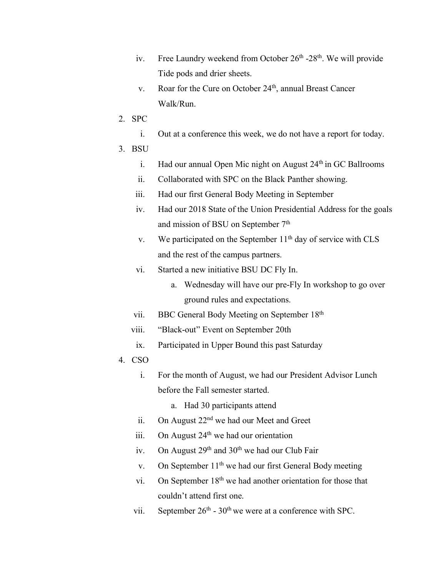- iv. Free Laundry weekend from October  $26<sup>th</sup>$  -28<sup>th</sup>. We will provide Tide pods and drier sheets.
- v. Roar for the Cure on October 24<sup>th</sup>, annual Breast Cancer Walk/Run.
- 2. SPC
	- i. Out at a conference this week, we do not have a report for today.
- 3. BSU
	- i. Had our annual Open Mic night on August  $24<sup>th</sup>$  in GC Ballrooms
	- ii. Collaborated with SPC on the Black Panther showing.
	- iii. Had our first General Body Meeting in September
	- iv. Had our 2018 State of the Union Presidential Address for the goals and mission of BSU on September 7<sup>th</sup>
	- v. We participated on the September  $11<sup>th</sup>$  day of service with CLS and the rest of the campus partners.
	- vi. Started a new initiative BSU DC Fly In.
		- a. Wednesday will have our pre-Fly In workshop to go over ground rules and expectations.
	- vii. BBC General Body Meeting on September 18th
	- viii. "Black-out" Event on September 20th
	- ix. Participated in Upper Bound this past Saturday
- 4. CSO
	- i. For the month of August, we had our President Advisor Lunch before the Fall semester started.
		- a. Had 30 participants attend
	- ii. On August 22<sup>nd</sup> we had our Meet and Greet
	- iii. On August  $24<sup>th</sup>$  we had our orientation
	- iv. On August  $29<sup>th</sup>$  and  $30<sup>th</sup>$  we had our Club Fair
	- v. On September  $11<sup>th</sup>$  we had our first General Body meeting
	- vi. On September 18<sup>th</sup> we had another orientation for those that couldn't attend first one.
	- vii. September  $26<sup>th</sup> 30<sup>th</sup>$  we were at a conference with SPC.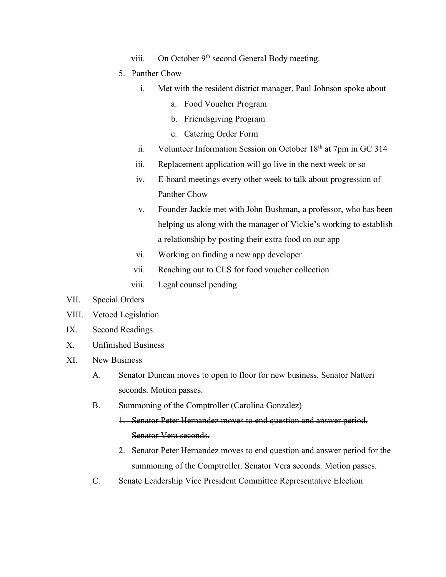- viii. On October 9<sup>th</sup> second General Body meeting.
- 5. Panther Chow
	- i. Met with the resident district manager, Paul Johnson spoke about
		- a. Food Voucher Program
		- b. Friendsgiving Program
		- c. Catering Order Form
	- ii. Volunteer Information Session on October  $18<sup>th</sup>$  at 7pm in GC 314
	- iii. Replacement application will go live in the next week or so
	- iv. E-board meetings every other week to talk about progression of Panther Chow
	- v. Founder Jackie met with John Bushman, a professor, who has been helping us along with the manager of Vickie's working to establish a relationship by posting their extra food on our app
	- vi. Working on finding a new app developer
	- vii. Reaching out to CLS for food voucher collection
	- viii. Legal counsel pending
- VII. Special Orders
- VIII. Vetoed Legislation
- IX. Second Readings
- X. Unfinished Business
- XI. New Business
	- A. Senator Duncan moves to open to floor for new business. Senator Natteri seconds. Motion passes.
	- B. Summoning of the Comptroller (Carolina Gonzalez)
		- 1. Senator Peter Hernandez moves to end question and answer period. Senator Vera seconds.
		- 2. Senator Peter Hernandez moves to end question and answer period for the summoning of the Comptroller. Senator Vera seconds. Motion passes.
	- C. Senate Leadership Vice President Committee Representative Election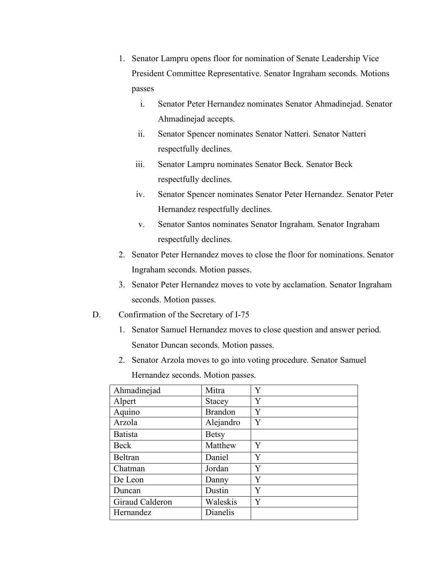- 1. Senator Lampru opens floor for nomination of Senate Leadership Vice President Committee Representative. Senator Ingraham seconds. Motions passes
	- i. Senator Peter Hernandez nominates Senator Ahmadinejad. Senator Ahmadinejad accepts.
	- ii. Senator Spencer nominates Senator Natteri. Senator Natteri respectfully declines.
	- iii. Senator Lampru nominates Senator Beck. Senator Beck respectfully declines.
	- iv. Senator Spencer nominates Senator Peter Hernandez. Senator Peter Hernandez respectfully declines.
	- v. Senator Santos nominates Senator Ingraham. Senator Ingraham respectfully declines.
- 2. Senator Peter Hernandez moves to close the floor for nominations. Senator Ingraham seconds. Motion passes.
- 3. Senator Peter Hernandez moves to vote by acclamation. Senator Ingraham seconds. Motion passes.
- D. Confirmation of the Secretary of I-75
	- 1. Senator Samuel Hernandez moves to close question and answer period. Senator Duncan seconds. Motion passes.
	- 2. Senator Arzola moves to go into voting procedure. Senator Samuel Hernandez seconds. Motion passes.

| Ahmadinejad     | Mitra          | Y |
|-----------------|----------------|---|
| Alpert          | <b>Stacey</b>  | Y |
| Aquino          | <b>Brandon</b> | Y |
| Arzola          | Alejandro      | Y |
| <b>Batista</b>  | <b>Betsy</b>   |   |
| Beck            | Matthew        | Y |
| Beltran         | Daniel         | Y |
| Chatman         | Jordan         | Y |
| De Leon         | Danny          | Y |
| Duncan          | Dustin         | Y |
| Giraud Calderon | Waleskis       | Y |
| Hernandez       | Dianelis       |   |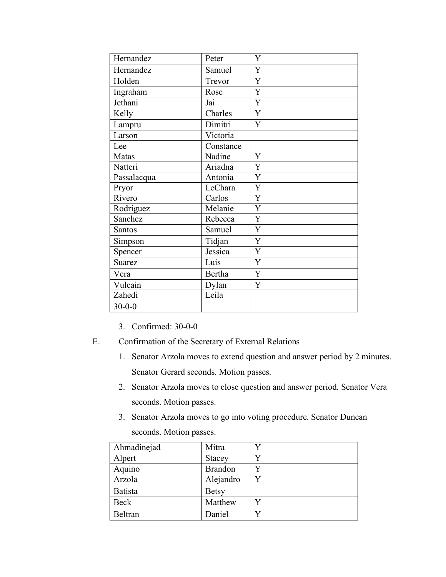| Hernandez    | Peter         | Y |
|--------------|---------------|---|
| Hernandez    | Samuel        | Y |
| Holden       | Trevor        | Y |
| Ingraham     | Rose          | Y |
| Jethani      | Jai           | Y |
| Kelly        | Charles       | Y |
| Lampru       | Dimitri       | Y |
| Larson       | Victoria      |   |
| Lee          | Constance     |   |
| Matas        | Nadine        | Y |
| Natteri      | Ariadna       | Y |
| Passalacqua  | Antonia       | Y |
| Pryor        | LeChara       | Y |
| Rivero       | Carlos        | Y |
| Rodriguez    | Melanie       | Y |
| Sanchez      | Rebecca       | Y |
| Santos       | Samuel        | Y |
| Simpson      | Tidjan        | Y |
| Spencer      | Jessica       | Y |
| Suarez       | Luis          | Y |
| Vera         | <b>Bertha</b> | Y |
| Vulcain      | Dylan         | Y |
| Zahedi       | Leila         |   |
| $30 - 0 - 0$ |               |   |

- 3. Confirmed: 30-0-0
- E. Confirmation of the Secretary of External Relations
	- 1. Senator Arzola moves to extend question and answer period by 2 minutes. Senator Gerard seconds. Motion passes.
	- 2. Senator Arzola moves to close question and answer period. Senator Vera seconds. Motion passes.
	- 3. Senator Arzola moves to go into voting procedure. Senator Duncan seconds. Motion passes.

| Ahmadinejad    | Mitra          |   |
|----------------|----------------|---|
| Alpert         | <b>Stacey</b>  |   |
| Aquino         | <b>Brandon</b> |   |
| Arzola         | Alejandro      | Y |
| <b>Batista</b> | <b>Betsy</b>   |   |
| <b>Beck</b>    | Matthew        |   |
| Beltran        | Daniel         |   |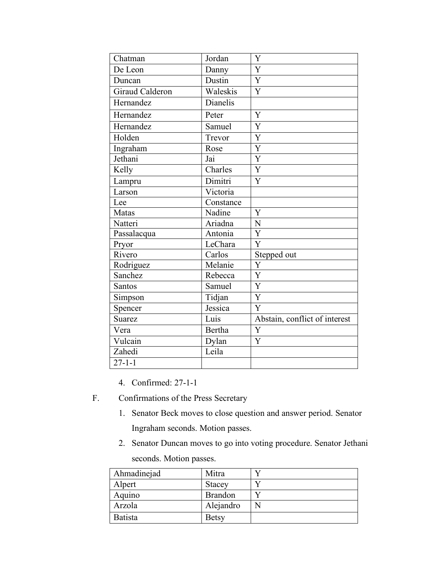| Chatman         | Jordan        | Y                             |
|-----------------|---------------|-------------------------------|
| De Leon         | Danny         | Y                             |
| Duncan          | Dustin        | Y                             |
| Giraud Calderon | Waleskis      | Y                             |
| Hernandez       | Dianelis      |                               |
| Hernandez       | Peter         | Y                             |
| Hernandez       | Samuel        | Y                             |
| Holden          | Trevor        | Y                             |
| Ingraham        | Rose          | $\overline{Y}$                |
| Jethani         | Jai           | $\overline{Y}$                |
| Kelly           | Charles       | Y                             |
| Lampru          | Dimitri       | Y                             |
| Larson          | Victoria      |                               |
| Lee             | Constance     |                               |
| Matas           | Nadine        | Y                             |
| Natteri         | Ariadna       | $\overline{N}$                |
| Passalacqua     | Antonia       | $\overline{Y}$                |
| Pryor           | LeChara       | Y                             |
| Rivero          | Carlos        | Stepped out                   |
| Rodriguez       | Melanie       | Y                             |
| Sanchez         | Rebecca       | Y                             |
| Santos          | Samuel        | $\mathbf Y$                   |
| Simpson         | Tidjan        | Y                             |
| Spencer         | Jessica       | Y                             |
| <b>Suarez</b>   | Luis          | Abstain, conflict of interest |
| Vera            | <b>Bertha</b> | Y                             |
| Vulcain         | Dylan         | Y                             |
| Zahedi          | Leila         |                               |
| $27 - 1 - 1$    |               |                               |

- 4. Confirmed: 27-1-1
- F. Confirmations of the Press Secretary
	- 1. Senator Beck moves to close question and answer period. Senator Ingraham seconds. Motion passes.
	- 2. Senator Duncan moves to go into voting procedure. Senator Jethani

seconds. Motion passes.

| Ahmadinejad    | Mitra          |  |
|----------------|----------------|--|
| Alpert         | <b>Stacey</b>  |  |
| Aquino         | <b>Brandon</b> |  |
| Arzola         | Alejandro      |  |
| <b>Batista</b> | <b>Betsy</b>   |  |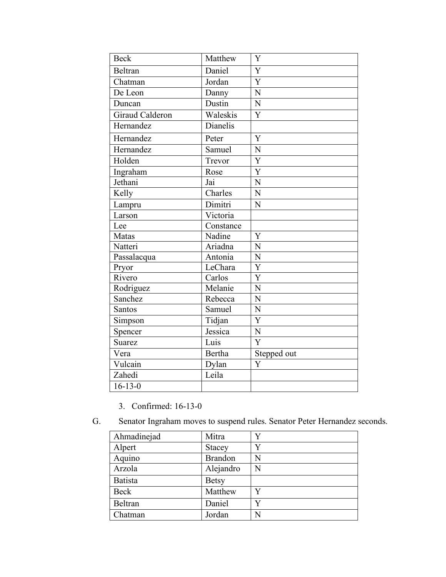| <b>Beck</b>     | Matthew       | Y              |
|-----------------|---------------|----------------|
| Beltran         | Daniel        | Y              |
| Chatman         | Jordan        | $\overline{Y}$ |
| De Leon         | Danny         | N              |
| Duncan          | Dustin        | N              |
| Giraud Calderon | Waleskis      | $\overline{Y}$ |
| Hernandez       | Dianelis      |                |
| Hernandez       | Peter         | Y              |
| Hernandez       | Samuel        | N              |
| Holden          | Trevor        | Y              |
| Ingraham        | Rose          | Y              |
| Jethani         | Jai           | N              |
| Kelly           | Charles       | $\overline{N}$ |
| Lampru          | Dimitri       | $\overline{N}$ |
| Larson          | Victoria      |                |
| Lee             | Constance     |                |
| Matas           | Nadine        | Y              |
| Natteri         | Ariadna       | N              |
| Passalacqua     | Antonia       | $\overline{N}$ |
| Pryor           | LeChara       | Y              |
| Rivero          | Carlos        | $\overline{Y}$ |
| Rodriguez       | Melanie       | $\overline{N}$ |
| Sanchez         | Rebecca       | N              |
| Santos          | Samuel        | N              |
| Simpson         | Tidjan        | $\overline{Y}$ |
| Spencer         | Jessica       | $\mathbf N$    |
| <b>Suarez</b>   | Luis          | $\overline{Y}$ |
| Vera            | <b>Bertha</b> | Stepped out    |
| Vulcain         | Dylan         | Y              |
| Zahedi          | Leila         |                |
| $16 - 13 - 0$   |               |                |

- 3. Confirmed: 16-13-0
- G. Senator Ingraham moves to suspend rules. Senator Peter Hernandez seconds.

| Ahmadinejad    | Mitra          |   |
|----------------|----------------|---|
| Alpert         | <b>Stacey</b>  |   |
| Aquino         | <b>Brandon</b> | N |
| Arzola         | Alejandro      | N |
| <b>Batista</b> | <b>Betsy</b>   |   |
| <b>Beck</b>    | Matthew        | Y |
| Beltran        | Daniel         |   |
| Chatman        | Jordan         | N |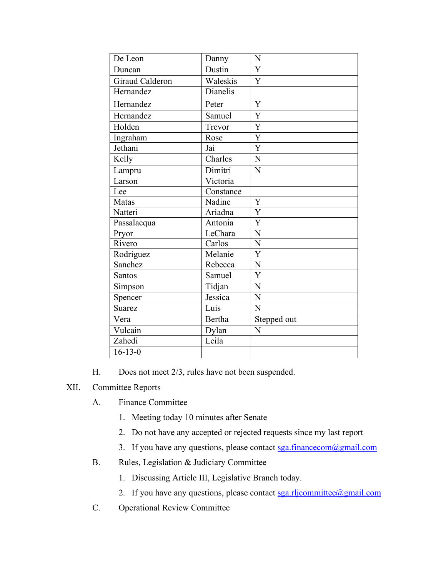| De Leon         | Danny     | N              |
|-----------------|-----------|----------------|
| Duncan          | Dustin    | Y              |
| Giraud Calderon | Waleskis  | $\overline{Y}$ |
| Hernandez       | Dianelis  |                |
| Hernandez       | Peter     | Y              |
| Hernandez       | Samuel    | Y              |
| Holden          | Trevor    | Y              |
| Ingraham        | Rose      | Y              |
| Jethani         | Jai       | Y              |
| Kelly           | Charles   | N              |
| Lampru          | Dimitri   | N              |
| Larson          | Victoria  |                |
| Lee             | Constance |                |
| Matas           | Nadine    | Y              |
| Natteri         | Ariadna   | Y              |
| Passalacqua     | Antonia   | $\overline{Y}$ |
| Pryor           | LeChara   | $\mathbf N$    |
| Rivero          | Carlos    | $\overline{N}$ |
| Rodriguez       | Melanie   | Y              |
| Sanchez         | Rebecca   | $\mathbf N$    |
| Santos          | Samuel    | $\overline{Y}$ |
| Simpson         | Tidjan    | $\overline{N}$ |
| Spencer         | Jessica   | $\overline{N}$ |
| <b>Suarez</b>   | Luis      | N              |
| Vera            | Bertha    | Stepped out    |
| Vulcain         | Dylan     | N              |
| Zahedi          | Leila     |                |
| $16 - 13 - 0$   |           |                |

H. Does not meet 2/3, rules have not been suspended.

## XII. Committee Reports

- A. Finance Committee
	- 1. Meeting today 10 minutes after Senate
	- 2. Do not have any accepted or rejected requests since my last report
	- 3. If you have any questions, please contact sga.financecom@gmail.com
- B. Rules, Legislation & Judiciary Committee
	- 1. Discussing Article III, Legislative Branch today.
	- 2. If you have any questions, please contact sga.rljcommittee@gmail.com
- C. Operational Review Committee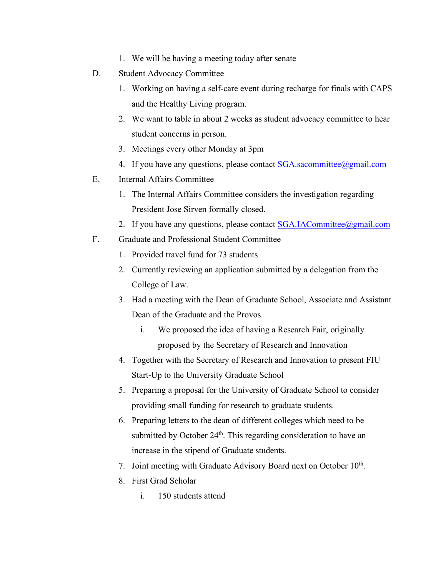- 1. We will be having a meeting today after senate
- D. Student Advocacy Committee
	- 1. Working on having a self-care event during recharge for finals with CAPS and the Healthy Living program.
	- 2. We want to table in about 2 weeks as student advocacy committee to hear student concerns in person.
	- 3. Meetings every other Monday at 3pm
	- 4. If you have any questions, please contact SGA sacommittee@gmail.com
- E. Internal Affairs Committee
	- 1. The Internal Affairs Committee considers the investigation regarding President Jose Sirven formally closed.
	- 2. If you have any questions, please contact **SGA.IACommittee@gmail.com**
- F. Graduate and Professional Student Committee
	- 1. Provided travel fund for 73 students
	- 2. Currently reviewing an application submitted by a delegation from the College of Law.
	- 3. Had a meeting with the Dean of Graduate School, Associate and Assistant Dean of the Graduate and the Provos.
		- i. We proposed the idea of having a Research Fair, originally proposed by the Secretary of Research and Innovation
	- 4. Together with the Secretary of Research and Innovation to present FIU Start-Up to the University Graduate School
	- 5. Preparing a proposal for the University of Graduate School to consider providing small funding for research to graduate students.
	- 6. Preparing letters to the dean of different colleges which need to be submitted by October 24<sup>th</sup>. This regarding consideration to have an increase in the stipend of Graduate students.
	- 7. Joint meeting with Graduate Advisory Board next on October 10<sup>th</sup>.
	- 8. First Grad Scholar
		- i. 150 students attend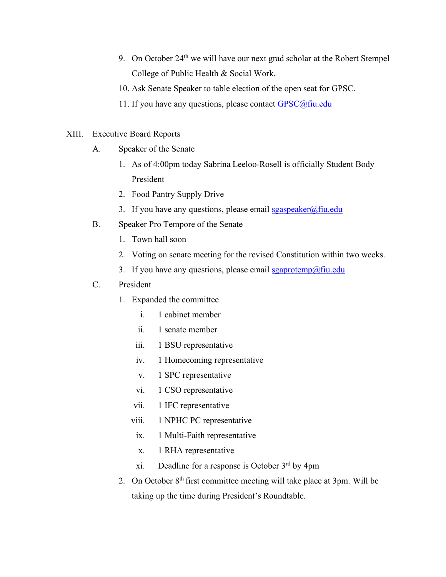- 9. On October 24<sup>th</sup> we will have our next grad scholar at the Robert Stempel College of Public Health & Social Work.
- 10. Ask Senate Speaker to table election of the open seat for GPSC.
- 11. If you have any questions, please contact  $GPSC@$ fiu.edu
- XIII. Executive Board Reports
	- A. Speaker of the Senate
		- 1. As of 4:00pm today Sabrina Leeloo-Rosell is officially Student Body President
		- 2. Food Pantry Supply Drive
		- 3. If you have any questions, please email  $sgaspeaker@final$
	- B. Speaker Pro Tempore of the Senate
		- 1. Town hall soon
		- 2. Voting on senate meeting for the revised Constitution within two weeks.
		- 3. If you have any questions, please email  $sgaprotemp@final$

## C. President

- 1. Expanded the committee
	- i. 1 cabinet member
	- ii. 1 senate member
	- iii. 1 BSU representative
	- iv. 1 Homecoming representative
	- v. 1 SPC representative
	- vi. 1 CSO representative
	- vii. 1 IFC representative
	- viii. 1 NPHC PC representative
		- ix. 1 Multi-Faith representative
		- x. 1 RHA representative
	- xi. Deadline for a response is October 3rd by 4pm
- 2. On October  $8<sup>th</sup>$  first committee meeting will take place at 3pm. Will be taking up the time during President's Roundtable.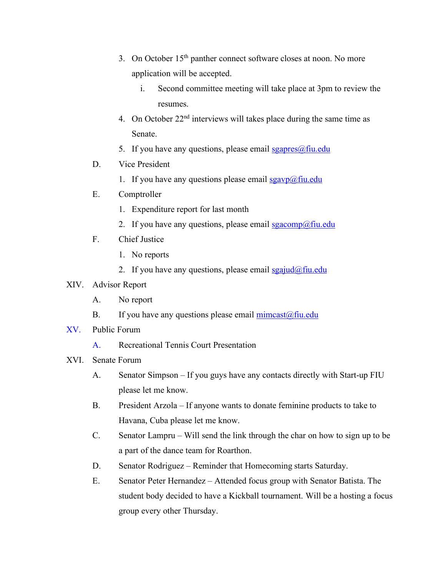- 3. On October 15<sup>th</sup> panther connect software closes at noon. No more application will be accepted.
	- i. Second committee meeting will take place at 3pm to review the resumes.
- 4. On October  $22<sup>nd</sup>$  interviews will takes place during the same time as Senate.
- 5. If you have any questions, please email  $sgapres(\omega fiu.edu)$
- D. Vice President
	- 1. If you have any questions please email  $sgavp(\omega)$  fiu.edu
- E. Comptroller
	- 1. Expenditure report for last month
	- 2. If you have any questions, please email  $sgacomp(\omega)$ fiu.edu
- F. Chief Justice
	- 1. No reports
	- 2. If you have any questions, please email  $sgajud(\omega f\text{in.edu})$

## XIV. Advisor Report

- A. No report
- B. If you have any questions please email  $\text{mincast}(\partial \text{fin.edu})$
- XV. Public Forum
	- A. Recreational Tennis Court Presentation
- XVI. Senate Forum
	- A. Senator Simpson If you guys have any contacts directly with Start-up FIU please let me know.
	- B. President Arzola If anyone wants to donate feminine products to take to Havana, Cuba please let me know.
	- C. Senator Lampru Will send the link through the char on how to sign up to be a part of the dance team for Roarthon.
	- D. Senator Rodriguez Reminder that Homecoming starts Saturday.
	- E. Senator Peter Hernandez Attended focus group with Senator Batista. The student body decided to have a Kickball tournament. Will be a hosting a focus group every other Thursday.